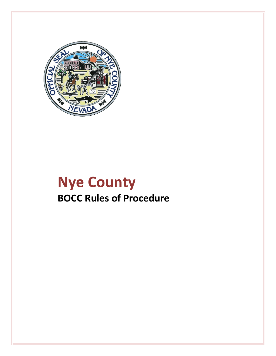

# **Nye County BOCC Rules of Procedure**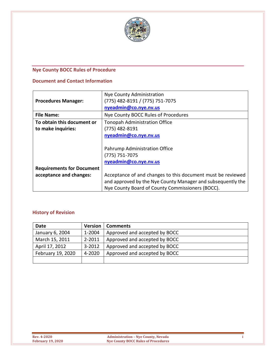

# <span id="page-1-0"></span>**Nye County BOCC Rules of Procedure**

#### **Document and Contact Information**

|                                  | Nye County Administration                                   |  |  |
|----------------------------------|-------------------------------------------------------------|--|--|
| <b>Procedures Manager:</b>       | (775) 482-8191 / (775) 751-7075                             |  |  |
|                                  | nyeadmin@co.nye.nv.us                                       |  |  |
| <b>File Name:</b>                | Nye County BOCC Rules of Procedures                         |  |  |
| To obtain this document or       | <b>Tonopah Administration Office</b>                        |  |  |
| to make inquiries:               | (775) 482-8191                                              |  |  |
|                                  | nyeadmin@co.nye.nv.us                                       |  |  |
|                                  |                                                             |  |  |
|                                  | Pahrump Administration Office                               |  |  |
|                                  | $(775) 751 - 7075$                                          |  |  |
|                                  | nyeadmin@co.nye.nv.us                                       |  |  |
| <b>Requirements for Document</b> |                                                             |  |  |
| acceptance and changes:          | Acceptance of and changes to this document must be reviewed |  |  |
|                                  | and approved by the Nye County Manager and subsequently the |  |  |
|                                  | Nye County Board of County Commissioners (BOCC).            |  |  |

#### **History of Revision**

| Date              | <b>Version</b> | <b>Comments</b>               |
|-------------------|----------------|-------------------------------|
| January 6, 2004   | 1-2004         | Approved and accepted by BOCC |
| March 15, 2011    | 2-2011         | Approved and accepted by BOCC |
| April 17, 2012    | $3 - 2012$     | Approved and accepted by BOCC |
| February 19, 2020 | 4-2020         | Approved and accepted by BOCC |
|                   |                |                               |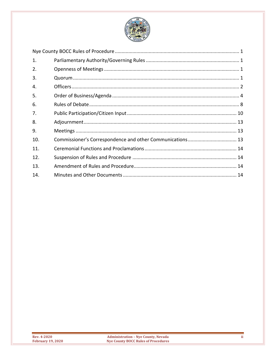

| 1.  |  |
|-----|--|
| 2.  |  |
| 3.  |  |
| 4.  |  |
| 5.  |  |
| 6.  |  |
| 7.  |  |
| 8.  |  |
| 9.  |  |
| 10. |  |
| 11. |  |
| 12. |  |
| 13. |  |
| 14. |  |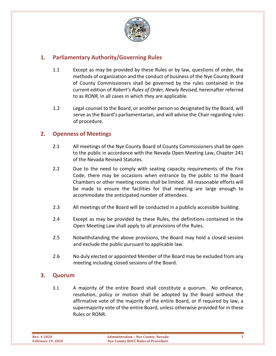

# <span id="page-3-0"></span>**1. Parliamentary Authority/Governing Rules**

- 1.1 Except as may be provided by these Rules or by law, questions of order, the methods of organization and the conduct of business of the Nye County Board of County Commissioners shall be governed by the rules contained in the current edition of *Robert's Rules of Order, Newly Revised,* hereinafter referred to as *RONR,* in all cases in which they are applicable.
- 1.2 Legal counsel to the Board, or another person so designated by the Board, will serve as the Board's parliamentarian, and will advise the Chair regarding rules of procedure.

#### <span id="page-3-1"></span>**2. Openness of Meetings**

- 2.1 All meetings of the Nye County Board of County Commissioners shall be open to the public in accordance with the Nevada Open Meeting Law, Chapter 241 of the Nevada Revised Statutes.
- 2.2 Due to the need to comply with seating capacity requirements of the Fire Code, there may be occasions when entrance by the public to the Board Chambers or other meeting rooms shall be limited. All reasonable efforts will be made to ensure the facilities for that meeting are large enough to accommodate the anticipated number of attendees.
- 2.3 All meetings of the Board will be conducted in a publicly accessible building.
- 2.4 Except as may be provided by these Rules, the definitions contained in the Open Meeting Law shall apply to all provisions of the Rules.
- 2.5 Notwithstanding the above provisions, the Board may hold a closed session and exclude the public pursuant to applicable law.
- 2.6 No duly elected or appointed Member of the Board may be excluded from any meeting including closed sessions of the Board.

#### <span id="page-3-2"></span>**3. Quorum**

3.1 A majority of the entire Board shall constitute a quorum. No ordinance, resolution, policy or motion shall be adopted by the Board without the affirmative vote of the majority of the entire Board, or if required by law, a supermajority vote of the entire Board, unless otherwise provided for in these Rules or RONR.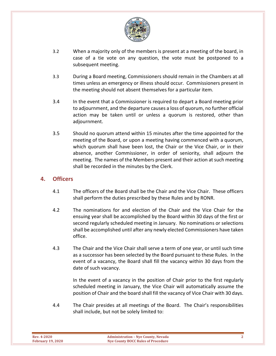

- 3.2 When a majority only of the members is present at a meeting of the board, in case of a tie vote on any question, the vote must be postponed to a subsequent meeting.
- 3.3 During a Board meeting, Commissioners should remain in the Chambers at all times unless an emergency or illness should occur. Commissioners present in the meeting should not absent themselves for a particular item.
- 3.4 In the event that a Commissioner is required to depart a Board meeting prior to adjournment, and the departure causes a loss of quorum, no further official action may be taken until or unless a quorum is restored, other than adjournment.
- 3.5 Should no quorum attend within 15 minutes after the time appointed for the meeting of the Board, or upon a meeting having commenced with a quorum, which quorum shall have been lost, the Chair or the Vice Chair, or in their absence, another Commissioner, in order of seniority, shall adjourn the meeting. The names of the Members present and their action at such meeting shall be recorded in the minutes by the Clerk.

#### <span id="page-4-0"></span>**4. Officers**

- 4.1 The officers of the Board shall be the Chair and the Vice Chair. These officers shall perform the duties prescribed by these Rules and by RONR.
- 4.2 The nominations for and election of the Chair and the Vice Chair for the ensuing year shall be accomplished by the Board within 30 days of the first or second regularly scheduled meeting in January. No nominations or selections shall be accomplished until after any newly elected Commissioners have taken office.
- 4.3 The Chair and the Vice Chair shall serve a term of one year, or until such time as a successor has been selected by the Board pursuant to these Rules. In the event of a vacancy, the Board shall fill the vacancy within 30 days from the date of such vacancy.

In the event of a vacancy in the position of Chair prior to the first regularly scheduled meeting in January, the Vice Chair will automatically assume the position of Chair and the board shall fill the vacancy of Vice Chair with 30 days.

4.4 The Chair presides at all meetings of the Board. The Chair's responsibilities shall include, but not be solely limited to:

| <b>Rev. 4-2020</b>       | Administrat       |
|--------------------------|-------------------|
| <b>February 19, 2020</b> | <b>Nye County</b> |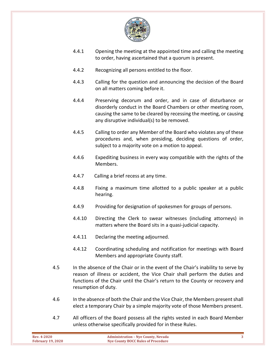

- 4.4.1 Opening the meeting at the appointed time and calling the meeting to order, having ascertained that a quorum is present.
- 4.4.2 Recognizing all persons entitled to the floor.
- 4.4.3 Calling for the question and announcing the decision of the Board on all matters coming before it.
- 4.4.4 Preserving decorum and order, and in case of disturbance or disorderly conduct in the Board Chambers or other meeting room, causing the same to be cleared by recessing the meeting, or causing any disruptive individual(s) to be removed.
- 4.4.5 Calling to order any Member of the Board who violates any of these procedures and, when presiding, deciding questions of order, subject to a majority vote on a motion to appeal.
- 4.4.6 Expediting business in every way compatible with the rights of the Members.
- 4.4.7 Calling a brief recess at any time.
- 4.4.8 Fixing a maximum time allotted to a public speaker at a public hearing.
- 4.4.9 Providing for designation of spokesmen for groups of persons.
- 4.4.10 Directing the Clerk to swear witnesses (including attorneys) in matters where the Board sits in a quasi-judicial capacity.
- 4.4.11 Declaring the meeting adjourned.
- 4.4.12 Coordinating scheduling and notification for meetings with Board Members and appropriate County staff.
- 4.5 In the absence of the Chair or in the event of the Chair's inability to serve by reason of illness or accident, the Vice Chair shall perform the duties and functions of the Chair until the Chair's return to the County or recovery and resumption of duty.
- 4.6 In the absence of both the Chair and the Vice Chair, the Members present shall elect a temporary Chair by a simple majority vote of those Members present.
- 4.7 All officers of the Board possess all the rights vested in each Board Member unless otherwise specifically provided for in these Rules.

| Rev. 4-2020<br><b>February 19, 2020</b> | <b>Administration - Nye County, Nevada</b><br>Nye County BOCC Rules of Procedure |  |
|-----------------------------------------|----------------------------------------------------------------------------------|--|
|                                         |                                                                                  |  |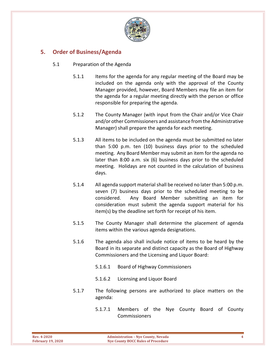

# <span id="page-6-0"></span>**5. Order of Business/Agenda**

- 5.1 Preparation of the Agenda
	- 5.1.1 Items for the agenda for any regular meeting of the Board may be included on the agenda only with the approval of the County Manager provided, however, Board Members may file an item for the agenda for a regular meeting directly with the person or office responsible for preparing the agenda.
	- 5.1.2 The County Manager (with input from the Chair and/or Vice Chair and/or other Commissioners and assistance from the Administrative Manager) shall prepare the agenda for each meeting.
	- 5.1.3 All items to be included on the agenda must be submitted no later than 5:00 p.m. ten (10) business days prior to the scheduled meeting. Any Board Member may submit an item for the agenda no later than 8:00 a.m. six (6) business days prior to the scheduled meeting. Holidays are not counted in the calculation of business days.
	- 5.1.4 All agenda support material shall be received no later than 5:00 p.m. seven (7) business days prior to the scheduled meeting to be considered. Any Board Member submitting an item for consideration must submit the agenda support material for his item(s) by the deadline set forth for receipt of his item.
	- 5.1.5 The County Manager shall determine the placement of agenda items within the various agenda designations.
	- 5.1.6 The agenda also shall include notice of items to be heard by the Board in its separate and distinct capacity as the Board of Highway Commissioners and the Licensing and Liquor Board:
		- 5.1.6.1 Board of Highway Commissioners
		- 5.1.6.2 Licensing and Liquor Board
	- 5.1.7 The following persons are authorized to place matters on the agenda:
		- 5.1.7.1 Members of the Nye County Board of County Commissioners

| Rev. 4-2020              | <b>Administration - Nye County, Nevada</b> |  |
|--------------------------|--------------------------------------------|--|
| <b>February 19, 2020</b> | <b>Nye County BOCC Rules of Procedure</b>  |  |
|                          |                                            |  |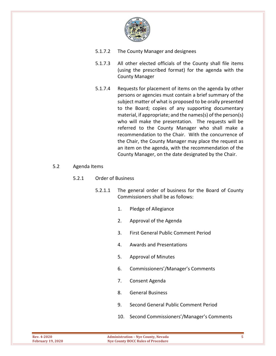

- 5.1.7.2 The County Manager and designees
- 5.1.7.3 All other elected officials of the County shall file items (using the prescribed format) for the agenda with the County Manager
- 5.1.7.4 Requests for placement of items on the agenda by other persons or agencies must contain a brief summary of the subject matter of what is proposed to be orally presented to the Board; copies of any supporting documentary material, if appropriate; and the names(s) of the person(s) who will make the presentation. The requests will be referred to the County Manager who shall make a recommendation to the Chair. With the concurrence of the Chair, the County Manager may place the request as an item on the agenda, with the recommendation of the County Manager, on the date designated by the Chair.

#### 5.2 Agenda Items

#### 5.2.1 Order of Business

- 5.2.1.1 The general order of business for the Board of County Commissioners shall be as follows:
	- 1. Pledge of Allegiance
	- 2. Approval of the Agenda
	- 3. First General Public Comment Period
	- 4. Awards and Presentations
	- 5. Approval of Minutes
	- 6. Commissioners'/Manager's Comments
	- 7. Consent Agenda
	- 8. General Business
	- 9. Second General Public Comment Period
	- 10. Second Commissioners'/Manager's Comments

| <b>Rev. 4-2020</b>       | <b>Administration - Nye County, Nevada</b> |  |
|--------------------------|--------------------------------------------|--|
| <b>February 19, 2020</b> | Nye County BOCC Rules of Procedure         |  |
|                          |                                            |  |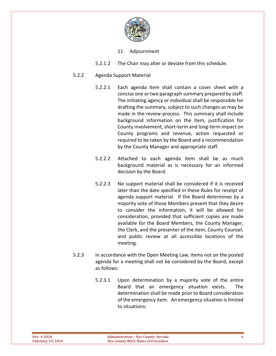

- 11. Adjournment
- 5.2.1.2 The Chair may alter or deviate from this schedule.

#### 5.2.2 Agenda Support Material

- 5.2.2.1 Each agenda item shall contain a cover sheet with a concise one or two paragraph summary prepared by staff. The initiating agency or individual shall be responsible for drafting the summary, subject to such changes as may be made in the review process. This summary shall include background information on the item, justification for County involvement, short-term and long-term impact on County programs and revenue, action requested or required to be taken by the Board and a recommendation by the County Manager and appropriate staff.
- 5.2.2.2 Attached to each agenda item shall be as much background material as is necessary for an informed decision by the Board.
- 5.2.2.3 No support material shall be considered if it is received later than the date specified in these Rules for receipt of agenda support material. If the Board determines by a majority vote of those Members present that they desire to consider the information, it will be allowed for consideration, provided that sufficient copies are made available for the Board Members, the County Manager, the Clerk, and the presenter of the item, County Counsel, and public review at all accessible locations of the meeting.
- 5.2.3 In accordance with the Open Meeting Law, items not on the posted agenda for a meeting shall not be considered by the Board, except as follows:
	- 5.2.3.1 Upon determination by a majority vote of the entire Board that an emergency situation exists. The determination shall be made prior to Board consideration of the emergency item. An emergency situation is limited to situations: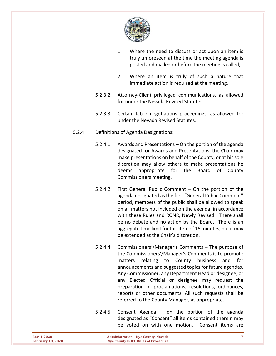

- 1. Where the need to discuss or act upon an item is truly unforeseen at the time the meeting agenda is posted and mailed or before the meeting is called;
- 2. Where an item is truly of such a nature that immediate action is required at the meeting.
- 5.2.3.2 Attorney-Client privileged communications, as allowed for under the Nevada Revised Statutes.
- 5.2.3.3 Certain labor negotiations proceedings, as allowed for under the Nevada Revised Statutes.
- 5.2.4 Definitions of Agenda Designations:
	- 5.2.4.1 Awards and Presentations On the portion of the agenda designated for Awards and Presentations, the Chair may make presentations on behalf of the County, or at his sole discretion may allow others to make presentations he deems appropriate for the Board of County Commissioners meeting.
	- 5.2.4.2 First General Public Comment On the portion of the agenda designated as the first "General Public Comment" period, members of the public shall be allowed to speak on all matters not included on the agenda, in accordance with these Rules and RONR, Newly Revised. There shall be no debate and no action by the Board. There is an aggregate time limit for this item of 15 minutes, but it may be extended at the Chair's discretion.
	- 5.2.4.4 Commissioners'/Manager's Comments The purpose of the Commissioners'/Manager's Comments is to promote matters relating to County business and for announcements and suggested topics for future agendas. Any Commissioner, any Department Head or designee, or any Elected Official or designee may request the preparation of proclamations, resolutions, ordinances, reports or other documents. All such requests shall be referred to the County Manager, as appropriate.
	- 5.2.4.5 Consent Agenda on the portion of the agenda designated as "Consent" all items contained therein may be voted on with one motion. Consent items are

| <b>Rev. 4-2020</b>       | <b>Administration – Nye County, Nevada</b> |  |
|--------------------------|--------------------------------------------|--|
| <b>February 19, 2020</b> | Nye County BOCC Rules of Procedure         |  |
|                          |                                            |  |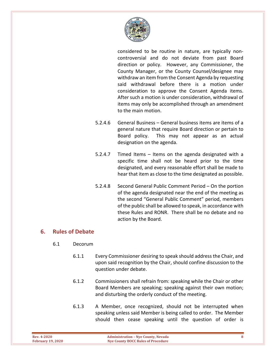

considered to be routine in nature, are typically noncontroversial and do not deviate from past Board direction or policy. However, any Commissioner, the County Manager, or the County Counsel/designee may withdraw an item from the Consent Agenda by requesting said withdrawal before there is a motion under consideration to approve the Consent Agenda items. After such a motion is under consideration, withdrawal of items may only be accomplished through an amendment to the main motion.

- 5.2.4.6 General Business General business items are items of a general nature that require Board direction or pertain to Board policy. This may not appear as an actual designation on the agenda.
- 5.2.4.7 Timed Items Items on the agenda designated with a specific time shall not be heard prior to the time designated, and every reasonable effort shall be made to hear that item as close to the time designated as possible.
- 5.2.4.8 Second General Public Comment Period On the portion of the agenda designated near the end of the meeting as the second "General Public Comment" period, members of the public shall be allowed to speak, in accordance with these Rules and RONR. There shall be no debate and no action by the Board.

#### <span id="page-10-0"></span>**6. Rules of Debate**

- 6.1 Decorum
	- 6.1.1 Every Commissioner desiring to speak should address the Chair, and upon said recognition by the Chair, should confine discussion to the question under debate.
	- 6.1.2 Commissioners shall refrain from: speaking while the Chair or other Board Members are speaking; speaking against their own motion; and disturbing the orderly conduct of the meeting.
	- 6.1.3 A Member, once recognized, should not be interrupted when speaking unless said Member is being called to order. The Member should then cease speaking until the question of order is

| Rev. 4-2020              | <b>Administration - Nye County, Nevada</b> |  |
|--------------------------|--------------------------------------------|--|
| <b>February 19, 2020</b> | Nye County BOCC Rules of Procedure         |  |
|                          |                                            |  |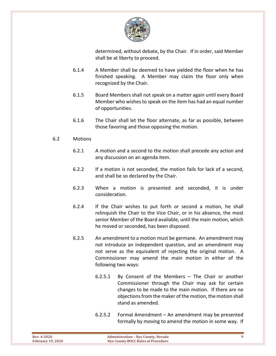

determined, without debate, by the Chair. If in order, said Member shall be at liberty to proceed.

- 6.1.4 A Member shall be deemed to have yielded the floor when he has finished speaking. A Member may claim the floor only when recognized by the Chair.
- 6.1.5 Board Members shall not speak on a matter again until every Board Member who wishes to speak on the item has had an equal number of opportunities.
- 6.1.6 The Chair shall let the floor alternate, as far as possible, between those favoring and those opposing the motion.

#### 6.2 Motions

- 6.2.1 A motion and a second to the motion shall precede any action and any discussion on an agenda item.
- 6.2.2 If a motion is not seconded, the motion fails for lack of a second, and shall be so declared by the Chair.
- 6.2.3 When a motion is presented and seconded, it is under consideration.
- 6.2.4 If the Chair wishes to put forth or second a motion, he shall relinquish the Chair to the Vice Chair, or in his absence, the most senior Member of the Board available, until the main motion, which he moved or seconded, has been disposed.
- 6.2.5 An amendment to a motion must be germane. An amendment may not introduce an independent question, and an amendment may not serve as the equivalent of rejecting the original motion. A Commissioner may amend the main motion in either of the following two ways:
	- 6.2.5.1 By Consent of the Members The Chair or another Commissioner through the Chair may ask for certain changes to be made to the main motion. If there are no objections from the maker of the motion, the motion shall stand as amended.
	- 6.2.5.2 Formal Amendment An amendment may be presented formally by moving to amend the motion in some way. If

| Rev. 4-2020              | <b>Administration - Nye County, Nevada</b> |  |
|--------------------------|--------------------------------------------|--|
| <b>February 19, 2020</b> | Nye County BOCC Rules of Procedure         |  |
|                          |                                            |  |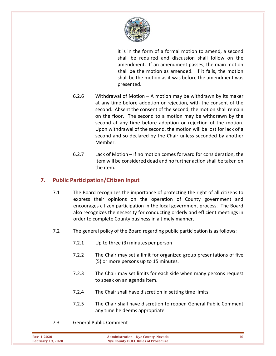

it is in the form of a formal motion to amend, a second shall be required and discussion shall follow on the amendment. If an amendment passes, the main motion shall be the motion as amended. If it fails, the motion shall be the motion as it was before the amendment was presented.

- 6.2.6 Withdrawal of Motion A motion may be withdrawn by its maker at any time before adoption or rejection, with the consent of the second. Absent the consent of the second, the motion shall remain on the floor. The second to a motion may be withdrawn by the second at any time before adoption or rejection of the motion. Upon withdrawal of the second, the motion will be lost for lack of a second and so declared by the Chair unless seconded by another Member.
- 6.2.7 Lack of Motion If no motion comes forward for consideration, the item will be considered dead and no further action shall be taken on the item.

# <span id="page-12-0"></span>**7. Public Participation/Citizen Input**

- 7.1 The Board recognizes the importance of protecting the right of all citizens to express their opinions on the operation of County government and encourages citizen participation in the local government process. The Board also recognizes the necessity for conducting orderly and efficient meetings in order to complete County business in a timely manner.
- 7.2 The general policy of the Board regarding public participation is as follows:
	- 7.2.1 Up to three (3) minutes per person
	- 7.2.2 The Chair may set a limit for organized group presentations of five (5) or more persons up to 15 minutes.
	- 7.2.3 The Chair may set limits for each side when many persons request to speak on an agenda item.
	- 7.2.4 The Chair shall have discretion in setting time limits.
	- 7.2.5 The Chair shall have discretion to reopen General Public Comment any time he deems appropriate.
- 7.3 General Public Comment

| <b>Rev. 4-2020</b><br><b>February 19, 2020</b> | <b>Administration - Nye County, Nevada</b><br>Nye County BOCC Rules of Procedure |  |
|------------------------------------------------|----------------------------------------------------------------------------------|--|
|                                                |                                                                                  |  |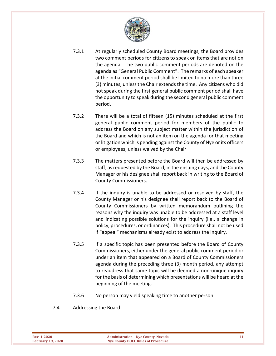

- 7.3.1 At regularly scheduled County Board meetings, the Board provides two comment periods for citizens to speak on items that are not on the agenda. The two public comment periods are denoted on the agenda as "General Public Comment". The remarks of each speaker at the initial comment period shall be limited to no more than three (3) minutes, unless the Chair extends the time. Any citizens who did not speak during the first general public comment period shall have the opportunity to speak during the second general public comment period.
- 7.3.2 There will be a total of fifteen (15) minutes scheduled at the first general public comment period for members of the public to address the Board on any subject matter within the jurisdiction of the Board and which is not an item on the agenda for that meeting or litigation which is pending against the County of Nye or its officers or employees, unless waived by the Chair
- 7.3.3 The matters presented before the Board will then be addressed by staff, as requested by the Board, in the ensuing days, and the County Manager or his designee shall report back in writing to the Board of County Commissioners.
- 7.3.4 If the inquiry is unable to be addressed or resolved by staff, the County Manager or his designee shall report back to the Board of County Commissioners by written memorandum outlining the reasons why the inquiry was unable to be addressed at a staff level and indicating possible solutions for the inquiry (i.e., a change in policy, procedures, or ordinances). This procedure shall not be used if "appeal" mechanisms already exist to address the inquiry.
- 7.3.5 If a specific topic has been presented before the Board of County Commissioners, either under the general public comment period or under an item that appeared on a Board of County Commissioners agenda during the preceding three (3) month period, any attempt to readdress that same topic will be deemed a non-unique inquiry for the basis of determining which presentations will be heard at the beginning of the meeting.
- 7.3.6 No person may yield speaking time to another person.
- 7.4 Addressing the Board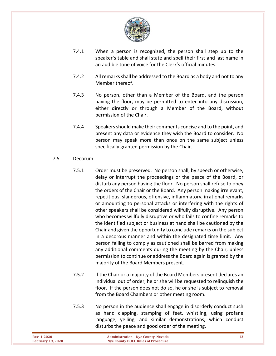

- 7.4.1 When a person is recognized, the person shall step up to the speaker's table and shall state and spell their first and last name in an audible tone of voice for the Clerk's official minutes.
- 7.4.2 All remarks shall be addressed to the Board as a body and not to any Member thereof.
- 7.4.3 No person, other than a Member of the Board, and the person having the floor, may be permitted to enter into any discussion, either directly or through a Member of the Board, without permission of the Chair.
- 7.4.4 Speakers should make their comments concise and to the point, and present any data or evidence they wish the Board to consider. No person may speak more than once on the same subject unless specifically granted permission by the Chair.
- 7.5 Decorum
	- 7.5.1 Order must be preserved. No person shall, by speech or otherwise, delay or interrupt the proceedings or the peace of the Board, or disturb any person having the floor. No person shall refuse to obey the orders of the Chair or the Board. Any person making irrelevant, repetitious, slanderous, offensive, inflammatory, irrational remarks or amounting to personal attacks or interfering with the rights of other speakers shall be considered willfully disruptive. Any person who becomes willfully disruptive or who fails to confine remarks to the identified subject or business at hand shall be cautioned by the Chair and given the opportunity to conclude remarks on the subject in a decorous manner and within the designated time limit. Any person failing to comply as cautioned shall be barred from making any additional comments during the meeting by the Chair, unless permission to continue or address the Board again is granted by the majority of the Board Members present.
	- 7.5.2 If the Chair or a majority of the Board Members present declares an individual out of order, he or she will be requested to relinquish the floor. If the person does not do so, he or she is subject to removal from the Board Chambers or other meeting room.
	- 7.5.3 No person in the audience shall engage in disorderly conduct such as hand clapping, stamping of feet, whistling, using profane language, yelling, and similar demonstrations, which conduct disturbs the peace and good order of the meeting.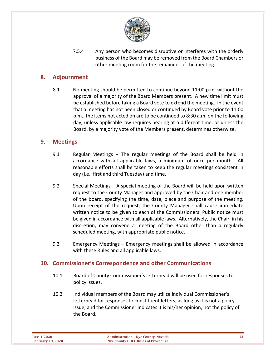

7.5.4 Any person who becomes disruptive or interferes with the orderly business of the Board may be removed from the Board Chambers or other meeting room for the remainder of the meeting.

#### <span id="page-15-0"></span>**8. Adjournment**

8.1 No meeting should be permitted to continue beyond 11:00 p.m. without the approval of a majority of the Board Members present. A new time limit must be established before taking a Board vote to extend the meeting. In the event that a meeting has not been closed or continued by Board vote prior to 11:00 p.m., the items not acted on are to be continued to 8:30 a.m. on the following day, unless applicable law requires hearing at a different time, or unless the Board, by a majority vote of the Members present, determines otherwise.

#### <span id="page-15-1"></span>**9. Meetings**

- 9.1 Regular Meetings The regular meetings of the Board shall be held in accordance with all applicable laws, a minimum of once per month. All reasonable efforts shall be taken to keep the regular meetings consistent in day (i.e., first and third Tuesday) and time.
- 9.2 Special Meetings A special meeting of the Board will be held upon written request to the County Manager and approved by the Chair and one member of the board, specifying the time, date, place and purpose of the meeting. Upon receipt of the request, the County Manager shall cause immediate written notice to be given to each of the Commissioners. Public notice must be given in accordance with all applicable laws. Alternatively, the Chair, in his discretion, may convene a meeting of the Board other than a regularly scheduled meeting, with appropriate public notice.
- 9.3 Emergency Meetings Emergency meetings shall be allowed in accordance with these Rules and all applicable laws.

#### <span id="page-15-2"></span>**10. Commissioner's Correspondence and other Communications**

- 10.1 Board of County Commissioner's letterhead will be used for responses to policy issues.
- 10.2 Individual members of the Board may utilize individual Commissioner's letterhead for responses to constituent letters, as long as it is not a policy issue, and the Commissioner indicates it is his/her opinion, not the policy of the Board.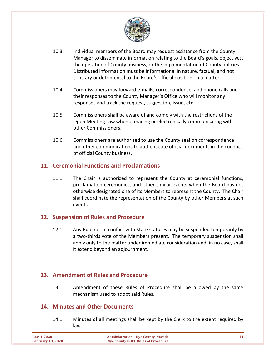

- 10.3 Individual members of the Board may request assistance from the County Manager to disseminate information relating to the Board's goals, objectives, the operation of County business, or the implementation of County policies. Distributed information must be informational in nature, factual, and not contrary or detrimental to the Board's official position on a matter.
- 10.4 Commissioners may forward e-mails, correspondence, and phone calls and their responses to the County Manager's Office who will monitor any responses and track the request, suggestion, issue, etc.
- 10.5 Commissioners shall be aware of and comply with the restrictions of the Open Meeting Law when e-mailing or electronically communicating with other Commissioners.
- 10.6 Commissioners are authorized to use the County seal on correspondence and other communications to authenticate official documents in the conduct of official County business.

#### <span id="page-16-0"></span>**11. Ceremonial Functions and Proclamations**

11.1 The Chair is authorized to represent the County at ceremonial functions, proclamation ceremonies, and other similar events when the Board has not otherwise designated one of its Members to represent the County. The Chair shall coordinate the representation of the County by other Members at such events.

#### <span id="page-16-1"></span>**12. Suspension of Rules and Procedure**

12.1 Any Rule not in conflict with State statutes may be suspended temporarily by a two-thirds vote of the Members present. The temporary suspension shall apply only to the matter under immediate consideration and, in no case, shall it extend beyond an adjournment.

# <span id="page-16-2"></span>**13. Amendment of Rules and Procedure**

13.1 Amendment of these Rules of Procedure shall be allowed by the same mechanism used to adopt said Rules.

#### <span id="page-16-3"></span>**14. Minutes and Other Documents**

14.1 Minutes of all meetings shall be kept by the Clerk to the extent required by law.

| <b>Rev. 4-2020</b>       | <b>Administration - Nye County, Nevada</b> |  |
|--------------------------|--------------------------------------------|--|
| <b>February 19, 2020</b> | Nye County BOCC Rules of Procedure         |  |
|                          |                                            |  |